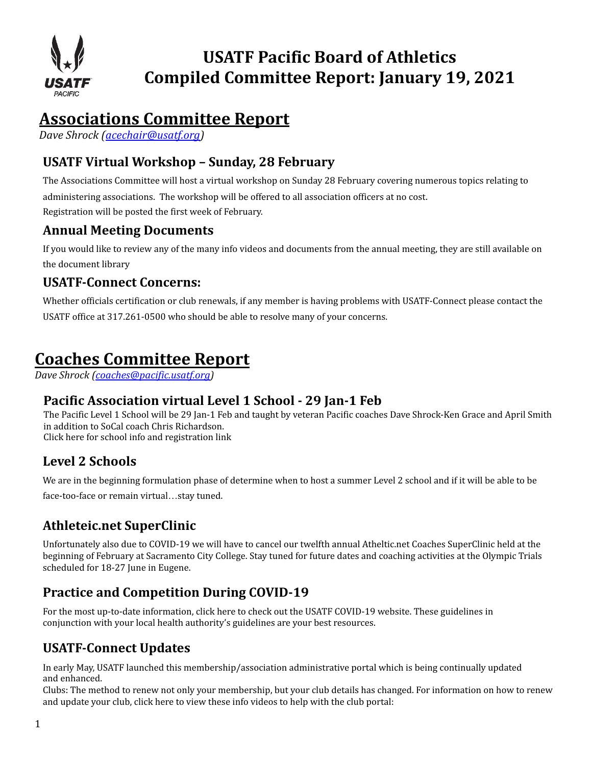

# **USATF Pacific Board of Athletics Compiled Committee Report: January 19, 2021**

# **Associations Committee Report**

*Dave Shrock ( [acechair@usatf.org \)](mailto:acechair@usatf.org)* 

# **USATF Virtual Workshop – Sunday, 28 February**

The Associations Committee will host a virtual workshop on Sunday 28 February covering numerous topics relating to administering associations. The workshop will be offered to all association officers at no cost. Registration will be posted the first week of February.

## **Annual Meeting Documents**

If you would like to review any of the many info videos and documents from the annual meeting, they are still available on the [document](https://www.usatf.org/events/2020/2020-usatf-annual-meeting/2020-annual-meeting-document-library) library

### **USATF-Connect Concerns:**

Whether officials certification or club renewals, if any member is having problems with USATF-Connect please contact the USATF office at 317.261-0500 who should be able to resolve many of your concerns.

# **Coaches Committee Report**

*Dave Shrock [\(coaches@pacific.usatf.org\)](mailto:coaches@pacific.usatf.org)*

## **Pacific Association virtual Level 1 School - 29 Jan-1 Feb**

The Pacific Level 1 School will be 29 Jan-1 Feb and taught by veteran Pacific coaches Dave Shrock-Ken Grace and April Smith in addition to SoCal coach Chris Richardson. Click here for school info and [registration](https://www.pausatf.org/wp-content/uploads/2021/01/USATF-Pacific-Level-1-School-Jan-29-Feb-1-details-.pdf) link

## **Level 2 Schools**

We are in the beginning formulation phase of determine when to host a summer Level 2 school and if it will be able to be face-too-face or remain virtual…stay tuned.

# **Athleteic.net SuperClinic**

Unfortunately also due to COVID-19 we will have to cancel our twelfth annual Atheltic.net Coaches SuperClinic held at the beginning of February at Sacramento City College. Stay tuned for future dates and coaching activities at the Olympic Trials scheduled for 18-27 June in Eugene.

# **Practice and Competition During COVID-19**

For the most up-to-date information, [click](https://www.usatf.org/covid19) here to check out the USATF COVID-19 website. These guidelines in conjunction with your local health authority's guidelines are your best resources.

## **USATF-Connect Updates**

In early May, USATF launched this membership/association administrative portal which is being continually updated and enhanced.

Clubs: The method to renew not only your membership, but your club details has changed. For information on how to renew and update your club, click [here](https://vimeopro.com/user44435707/usatf-connect-club-tutorials/page/1) to view these info videos to help with the club portal: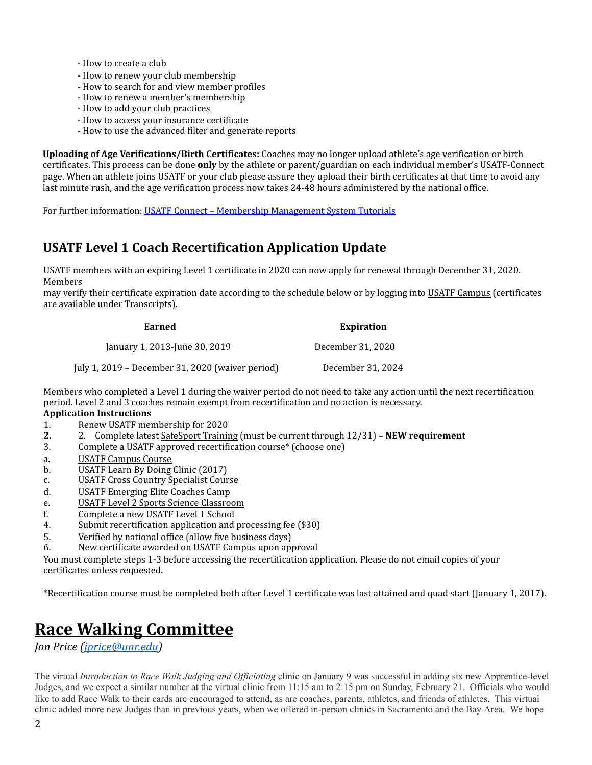- How to create a club
- How to renew your club membership
- How to search for and view member profiles
- How to renew a member's membership
- How to add your club practices
- How to access your insurance certificate
- How to use the advanced filter and generate reports

**Uploading of Age Verifications/Birth Certificates:** Coaches may no longer upload athlete's age verification or birth certificates. This process can be done **only** by the athlete or parent/guardian on each individual member's USATF-Connect page. When an athlete joins USATF or your club please assure they upload their birth certificates at that time to avoid any last minute rush, and the age verification process now takes 24-48 hours administered by the national office.

For further information: USATF Connect – Membership [Management](https://vimeopro.com/user44435707/usatf-connect-member-tutorials/page/1) System Tutorials

### **USATF Level 1 Coach Recertification Application Update**

USATF members with an expiring Level 1 certificate in 2020 can now apply for renewal through December 31, 2020. Members

may verify their certificate expiration date according to the schedule below or by logging into USATF [Campus](https://usatf.us4.list-manage.com/track/click?u=abfae9ba2c613ee022153363a&id=3ebc5b23ca&e=2e6b93f6a0) (certificates are available under Transcripts).

| Earned                                           | <b>Expiration</b> |
|--------------------------------------------------|-------------------|
| January 1, 2013-June 30, 2019                    | December 31, 2020 |
| July 1, 2019 - December 31, 2020 (waiver period) | December 31, 2024 |

Members who completed a Level 1 during the waiver period do not need to take any action until the next recertification period. Level 2 and 3 coaches remain exempt from recertification and no action is necessary.

#### **Application Instructions**

- 1. Renew USATF [membership](https://usatf.us4.list-manage.com/track/click?u=abfae9ba2c613ee022153363a&id=dd3bf9f574&e=2e6b93f6a0) for 2020
- **2.** 2. Complete latest [SafeSport](https://usatf.us4.list-manage.com/track/click?u=abfae9ba2c613ee022153363a&id=653478badf&e=2e6b93f6a0) Training (must be current through 12/31) **NEW requirement**
- 3. Complete a USATF approved recertification course\* (choose one)
- a. USATF [Campus](https://usatf.us4.list-manage.com/track/click?u=abfae9ba2c613ee022153363a&id=57bc7275b5&e=2e6b93f6a0) Course
- b. USATF Learn By Doing Clinic (2017)
- c. USATF Cross Country Specialist Course
- d. USATF Emerging Elite Coaches Camp
- e. USATF Level 2 Sports Science [Classroom](https://usatf.us4.list-manage.com/track/click?u=abfae9ba2c613ee022153363a&id=51c66002a1&e=2e6b93f6a0)
- f. Complete a new USATF Level 1 School
- 4. Submit [recertification](https://usatf.us4.list-manage.com/track/click?u=abfae9ba2c613ee022153363a&id=052a8d5c1f&e=2e6b93f6a0) applicatio[n](https://usatf.us4.list-manage.com/track/click?u=abfae9ba2c613ee022153363a&id=052a8d5c1f&e=2e6b93f6a0) and processing fee (\$30)
- 5. Verified by national office (allow five business days)
- 6. New certificate awarded on USATF Campus upon approval

You must complete steps 1-3 before accessing the recertification application. Please do not email copies of your certificates unless requested.

\*Recertification course must be completed both after Level 1 certificate was last attained and quad start (January 1, 2017).

# **Race Walking Committee**

*Jon Price [\( jprice@unr.edu \)](mailto:jprice@unr.edu)* 

The virtual *Introduction to Race Walk Judging and Of iciating* clinic on January 9 was successful in adding six new Apprentice-level Judges, and we expect a similar number at the virtual clinic from 11:15 am to 2:15 pm on Sunday, February 21. Officials who would like to add Race Walk to their cards are encouraged to attend, as are coaches, parents, athletes, and friends of athletes. This virtual clinic added more new Judges than in previous years, when we offered in-person clinics in Sacramento and the Bay Area. We hope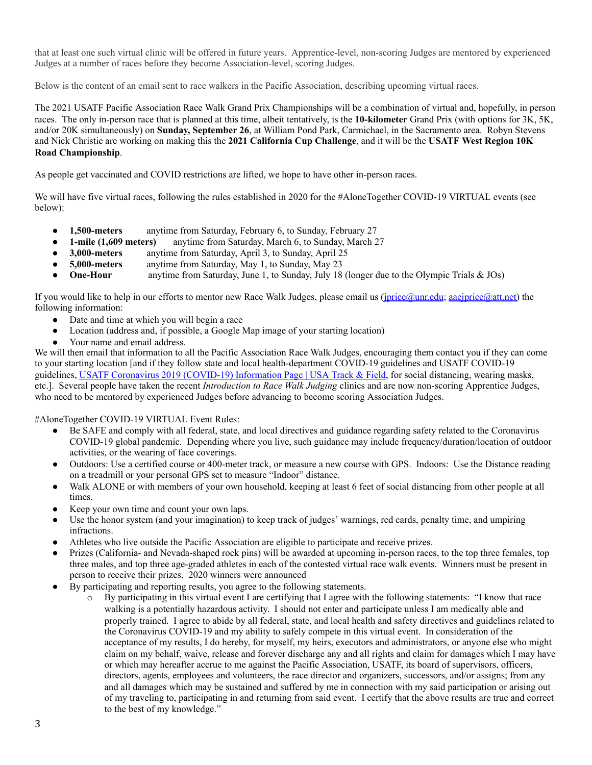that at least one such virtual clinic will be offered in future years. Apprentice-level, non-scoring Judges are mentored by experienced Judges at a number of races before they become Association-level, scoring Judges.

Below is the content of an email sent to race walkers in the Pacific Association, describing upcoming virtual races.

The 2021 USATF Pacific Association Race Walk Grand Prix Championships will be a combination of virtual and, hopefully, in person races. The only in-person race that is planned at this time, albeit tentatively, is the **10-kilometer** Grand Prix (with options for 3K, 5K, and/or 20K simultaneously) on **Sunday, September 26**, at William Pond Park, Carmichael, in the Sacramento area. Robyn Stevens and Nick Christie are working on making this the **2021 California Cup Challenge**, and it will be the **USATF West Region 10K Road Championship**.

As people get vaccinated and COVID restrictions are lifted, we hope to have other in-person races.

We will have five virtual races, following the rules established in 2020 for the #AloneTogether COVID-19 VIRTUAL events (see below):

- **1,500-meters** anytime from Saturday, February 6, to Sunday, February 27
- **1-mile (1,609 meters)** anytime from Saturday, March 6, to Sunday, March 27
- **3,000-meters** anytime from Saturday, April 3, to Sunday, April 25
- **5,000-meters** anytime from Saturday, May 1, to Sunday, May 23
- **One-Hour** anytime from Saturday, June 1, to Sunday, July 18 (longer due to the Olympic Trials & JOs)

If you would like to help in our efforts to mentor new Race Walk Judges, please email us ( $\frac{1}{\text{price@unr.edu}}$ ; [aaejprice@att.net](mailto:aaejprice@att.net)) the following information:

- Date and time at which you will begin a race
- Location (address and, if possible, a Google Map image of your starting location)
- Your name and email address.

We will then email that information to all the Pacific Association Race Walk Judges, encouraging them contact you if they can come to your starting location [and if they follow state and local health-department COVID-19 guidelines and USATF COVID-19 guidelines, USATF Coronavirus 2019 [\(COVID-19\)](https://www.usatf.org/covid19) Information Page | USA Track & Field, for social distancing, wearing masks, etc.]. Several people have taken the recent *Introduction to Race Walk Judging* clinics and are now non-scoring Apprentice Judges, who need to be mentored by experienced Judges before advancing to become scoring Association Judges.

#### #AloneTogether COVID-19 VIRTUAL Event Rules:

- Be SAFE and comply with all federal, state, and local directives and guidance regarding safety related to the Coronavirus COVID-19 global pandemic. Depending where you live, such guidance may include frequency/duration/location of outdoor activities, or the wearing of face coverings.
- Outdoors: Use a certified course or 400-meter track, or measure a new course with GPS. Indoors: Use the Distance reading on a treadmill or your personal GPS set to measure "Indoor" distance.
- Walk ALONE or with members of your own household, keeping at least 6 feet of social distancing from other people at all times.
- Keep your own time and count your own laps.
- Use the honor system (and your imagination) to keep track of judges' warnings, red cards, penalty time, and umpiring infractions.
- Athletes who live outside the Pacific Association are eligible to participate and receive prizes.
- Prizes (California- and Nevada-shaped rock pins) will be awarded at upcoming in-person races, to the top three females, top three males, and top three age-graded athletes in each of the contested virtual race walk events. Winners must be present in person to receive their prizes. 2020 winners were announced
- By participating and reporting results, you agree to the following statements.
	- o By participating in this virtual event I are certifying that I agree with the following statements: "I know that race walking is a potentially hazardous activity. I should not enter and participate unless I am medically able and properly trained. I agree to abide by all federal, state, and local health and safety directives and guidelines related to the Coronavirus COVID-19 and my ability to safely compete in this virtual event. In consideration of the acceptance of my results, I do hereby, for myself, my heirs, executors and administrators, or anyone else who might claim on my behalf, waive, release and forever discharge any and all rights and claim for damages which I may have or which may hereafter accrue to me against the Pacific Association, USATF, its board of supervisors, officers, directors, agents, employees and volunteers, the race director and organizers, successors, and/or assigns; from any and all damages which may be sustained and suffered by me in connection with my said participation or arising out of my traveling to, participating in and returning from said event. I certify that the above results are true and correct to the best of my knowledge."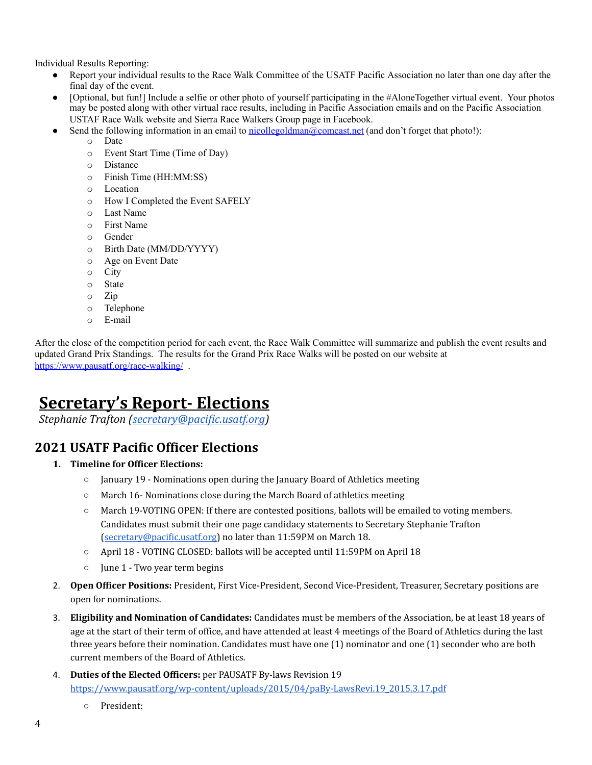Individual Results Reporting:

- Report your individual results to the Race Walk Committee of the USATF Pacific Association no later than one day after the final day of the event.
- [Optional, but fun!] Include a selfie or other photo of yourself participating in the #AloneTogether virtual event. Your photos may be posted along with other virtual race results, including in Pacific Association emails and on the Pacific Association USTAF Race Walk website and Sierra Race Walkers Group page in Facebook.
- Send the following information in an email to [nicollegoldman@comcast.net](mailto:nicollegoldman@comcast.net) (and don't forget that photo!):
	- o Date
		- o Event Start Time (Time of Day)
	- o Distance
	- o Finish Time (HH:MM:SS)
	- o Location
	- o How I Completed the Event SAFELY
	- o Last Name
	- o First Name
	- o Gender
	- o Birth Date (MM/DD/YYYY)
	- o Age on Event Date
	- o City
	- o State
	- o Zip
	- o Telephone
	- o E-mail

After the close of the competition period for each event, the Race Walk Committee will summarize and publish the event results and updated Grand Prix Standings. The results for the Grand Prix Race Walks will be posted on our website at [https://www.pausatf.org/race-walking/](https://nam04.safelinks.protection.outlook.com/?url=https%3A%2F%2Fwww.pausatf.org%2Frace-walking%2F&data=01%7C01%7Cjprice%40unr.edu%7Ce5bb726d9254443a963a08d7fad036df%7C523b4bfc0ebd4c03b2b96f6a17fd31d8%7C1&sdata=6xNxszRntWtzAjsvXswYJIEHIhBt%2BzglUJNLa4Dd3YY%3D&reserved=0) .

# **Secretary's Report- Elections**

*Stephanie Trafton [\( secretary@pacific.usatf.org](mailto:secretary@pacific.usatf.org) )* 

#### **2021 USATF Pacific Officer Elections**

- **1. Timeline for Officer Elections:**
	- January 19 Nominations open during the January Board of Athletics meeting
	- March 16- Nominations close during the March Board of athletics meeting
	- March 19-VOTING OPEN: If there are contested positions, ballots will be emailed to voting members. Candidates must submit their one page candidacy statements to Secretary Stephanie Trafton [\(secretary@pacific.usatf.org](mailto:secretary@pacific.usatf.org)) no later than 11:59PM on March 18.
	- April 18 VOTING CLOSED: ballots will be accepted until 11:59PM on April 18
	- June 1 Two year term begins
- 2. **Open Officer Positions:** President, First Vice-President, Second Vice-President, Treasurer, Secretary positions are open for nominations.
- 3. **Eligibility and Nomination of Candidates:** Candidates must be members of the Association, be at least 18 years of age at the start of their term of office, and have attended at least 4 meetings of the Board of Athletics during the last three years before their nomination. Candidates must have one (1) nominator and one (1) seconder who are both current members of the Board of Athletics.
- 4. **Duties of the Elected Officers:** per PAUSATF By-laws Revision 19 [https://www.pausatf.org/wp-content/uploads/2015/04/paBy-LawsRevi.19\\_2015.3.17.pdf](https://www.pausatf.org/wp-content/uploads/2015/04/paBy-LawsRevi.19_2015.3.17.pdf)
	- President: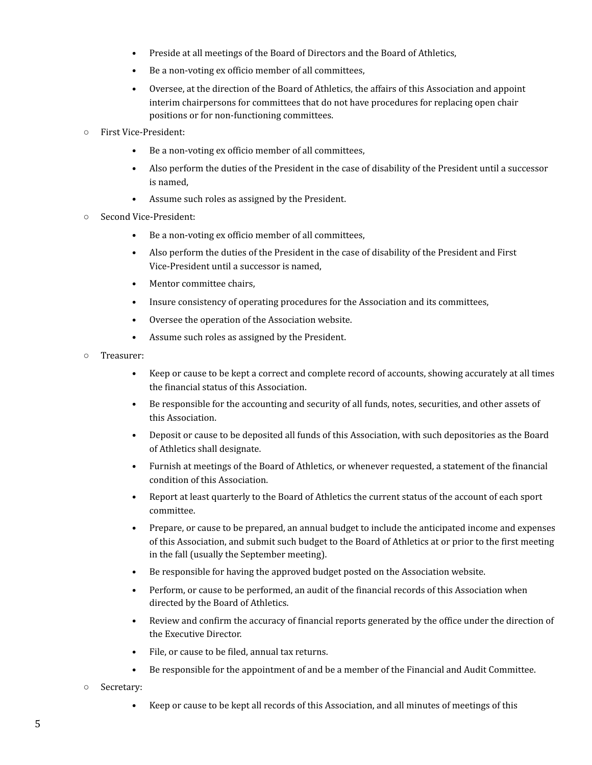- Preside at all meetings of the Board of Directors and the Board of Athletics,
- Be a non-voting ex officio member of all committees,
- Oversee, at the direction of the Board of Athletics, the affairs of this Association and appoint interim chairpersons for committees that do not have procedures for replacing open chair positions or for non-functioning committees.
- First Vice-President:
	- Be a non-voting ex officio member of all committees,
	- Also perform the duties of the President in the case of disability of the President until a successor is named,
	- Assume such roles as assigned by the President.
- Second Vice-President:
	- Be a non-voting ex officio member of all committees,
	- Also perform the duties of the President in the case of disability of the President and First Vice-President until a successor is named,
	- Mentor committee chairs.
	- Insure consistency of operating procedures for the Association and its committees,
	- Oversee the operation of the Association website.
	- Assume such roles as assigned by the President.
- Treasurer:
	- Keep or cause to be kept a correct and complete record of accounts, showing accurately at all times the financial status of this Association.
	- Be responsible for the accounting and security of all funds, notes, securities, and other assets of this Association.
	- Deposit or cause to be deposited all funds of this Association, with such depositories as the Board of Athletics shall designate.
	- Furnish at meetings of the Board of Athletics, or whenever requested, a statement of the financial condition of this Association.
	- Report at least quarterly to the Board of Athletics the current status of the account of each sport committee.
	- Prepare, or cause to be prepared, an annual budget to include the anticipated income and expenses of this Association, and submit such budget to the Board of Athletics at or prior to the first meeting in the fall (usually the September meeting).
	- Be responsible for having the approved budget posted on the Association website.
	- Perform, or cause to be performed, an audit of the financial records of this Association when directed by the Board of Athletics.
	- Review and confirm the accuracy of financial reports generated by the office under the direction of the Executive Director.
	- File, or cause to be filed, annual tax returns.
	- Be responsible for the appointment of and be a member of the Financial and Audit Committee.
- Secretary:
	- Keep or cause to be kept all records of this Association, and all minutes of meetings of this